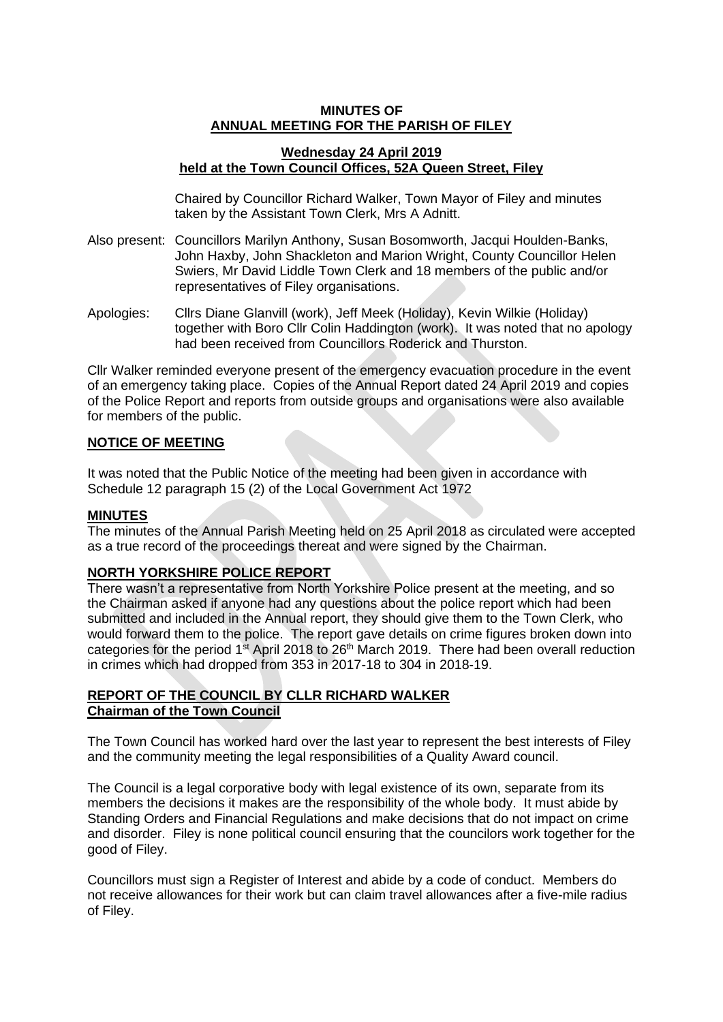## **MINUTES OF ANNUAL MEETING FOR THE PARISH OF FILEY**

# **Wednesday 24 April 2019 held at the Town Council Offices, 52A Queen Street, Filey**

Chaired by Councillor Richard Walker, Town Mayor of Filey and minutes taken by the Assistant Town Clerk, Mrs A Adnitt.

- Also present: Councillors Marilyn Anthony, Susan Bosomworth, Jacqui Houlden-Banks, John Haxby, John Shackleton and Marion Wright, County Councillor Helen Swiers, Mr David Liddle Town Clerk and 18 members of the public and/or representatives of Filey organisations.
- Apologies: Cllrs Diane Glanvill (work), Jeff Meek (Holiday), Kevin Wilkie (Holiday) together with Boro Cllr Colin Haddington (work). It was noted that no apology had been received from Councillors Roderick and Thurston.

Cllr Walker reminded everyone present of the emergency evacuation procedure in the event of an emergency taking place. Copies of the Annual Report dated 24 April 2019 and copies of the Police Report and reports from outside groups and organisations were also available for members of the public.

## **NOTICE OF MEETING**

It was noted that the Public Notice of the meeting had been given in accordance with Schedule 12 paragraph 15 (2) of the Local Government Act 1972

## **MINUTES**

The minutes of the Annual Parish Meeting held on 25 April 2018 as circulated were accepted as a true record of the proceedings thereat and were signed by the Chairman.

# **NORTH YORKSHIRE POLICE REPORT**

There wasn't a representative from North Yorkshire Police present at the meeting, and so the Chairman asked if anyone had any questions about the police report which had been submitted and included in the Annual report, they should give them to the Town Clerk, who would forward them to the police. The report gave details on crime figures broken down into categories for the period  $1<sup>st</sup>$  April 2018 to 26<sup>th</sup> March 2019. There had been overall reduction in crimes which had dropped from 353 in 2017-18 to 304 in 2018-19.

# **REPORT OF THE COUNCIL BY CLLR RICHARD WALKER Chairman of the Town Council**

The Town Council has worked hard over the last year to represent the best interests of Filey and the community meeting the legal responsibilities of a Quality Award council.

The Council is a legal corporative body with legal existence of its own, separate from its members the decisions it makes are the responsibility of the whole body. It must abide by Standing Orders and Financial Regulations and make decisions that do not impact on crime and disorder. Filey is none political council ensuring that the councilors work together for the good of Filey.

Councillors must sign a Register of Interest and abide by a code of conduct. Members do not receive allowances for their work but can claim travel allowances after a five-mile radius of Filey.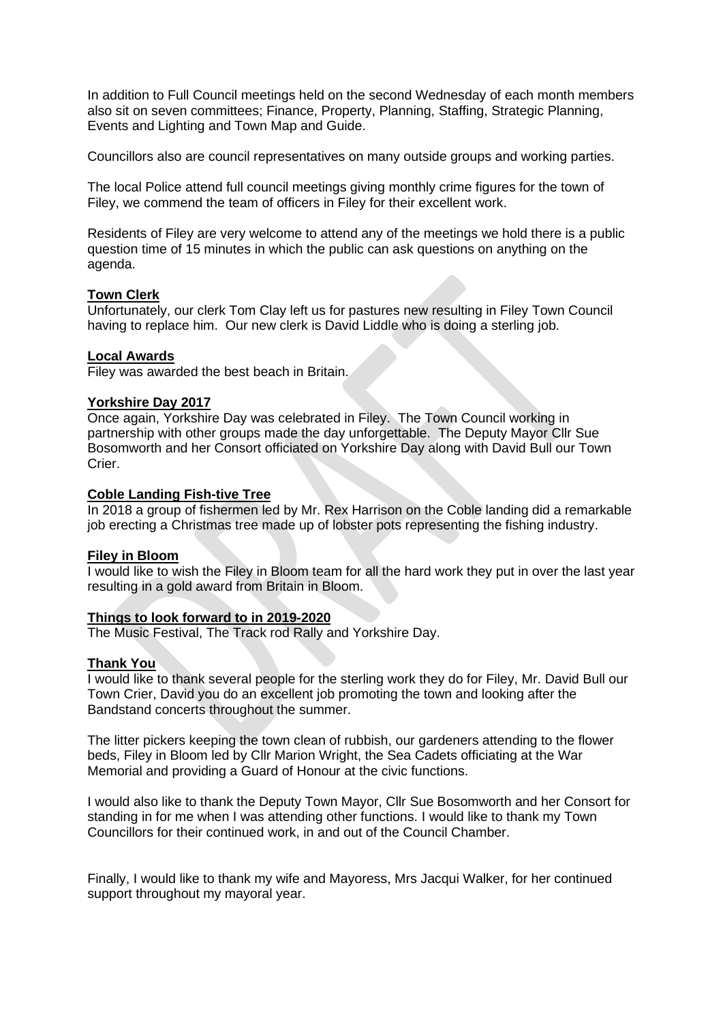In addition to Full Council meetings held on the second Wednesday of each month members also sit on seven committees; Finance, Property, Planning, Staffing, Strategic Planning, Events and Lighting and Town Map and Guide.

Councillors also are council representatives on many outside groups and working parties.

The local Police attend full council meetings giving monthly crime figures for the town of Filey, we commend the team of officers in Filey for their excellent work.

Residents of Filey are very welcome to attend any of the meetings we hold there is a public question time of 15 minutes in which the public can ask questions on anything on the agenda.

## **Town Clerk**

Unfortunately, our clerk Tom Clay left us for pastures new resulting in Filey Town Council having to replace him. Our new clerk is David Liddle who is doing a sterling job.

## **Local Awards**

Filey was awarded the best beach in Britain.

## **Yorkshire Day 2017**

Once again, Yorkshire Day was celebrated in Filey. The Town Council working in partnership with other groups made the day unforgettable. The Deputy Mayor Cllr Sue Bosomworth and her Consort officiated on Yorkshire Day along with David Bull our Town Crier.

# **Coble Landing Fish-tive Tree**

In 2018 a group of fishermen led by Mr. Rex Harrison on the Coble landing did a remarkable job erecting a Christmas tree made up of lobster pots representing the fishing industry.

#### **Filey in Bloom**

I would like to wish the Filey in Bloom team for all the hard work they put in over the last year resulting in a gold award from Britain in Bloom.

# **Things to look forward to in 2019-2020**

The Music Festival, The Track rod Rally and Yorkshire Day.

#### **Thank You**

I would like to thank several people for the sterling work they do for Filey, Mr. David Bull our Town Crier, David you do an excellent job promoting the town and looking after the Bandstand concerts throughout the summer.

The litter pickers keeping the town clean of rubbish, our gardeners attending to the flower beds, Filey in Bloom led by Cllr Marion Wright, the Sea Cadets officiating at the War Memorial and providing a Guard of Honour at the civic functions.

I would also like to thank the Deputy Town Mayor, Cllr Sue Bosomworth and her Consort for standing in for me when I was attending other functions. I would like to thank my Town Councillors for their continued work, in and out of the Council Chamber.

Finally, I would like to thank my wife and Mayoress, Mrs Jacqui Walker, for her continued support throughout my mayoral year.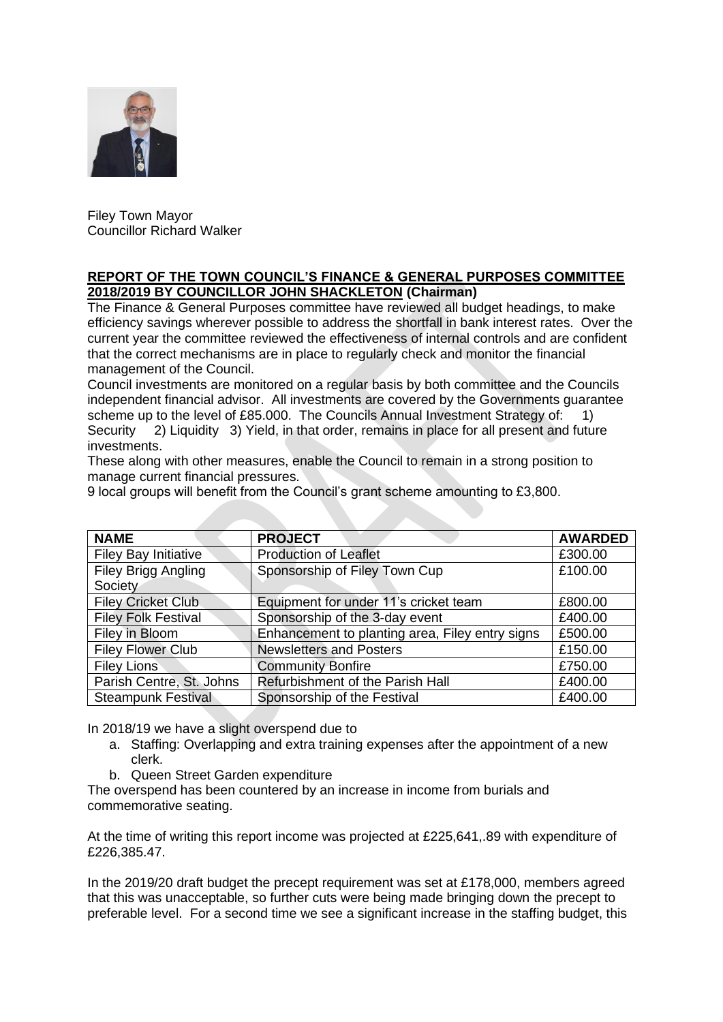

Filey Town Mayor Councillor Richard Walker

# **REPORT OF THE TOWN COUNCIL'S FINANCE & GENERAL PURPOSES COMMITTEE 2018/2019 BY COUNCILLOR JOHN SHACKLETON (Chairman)**

The Finance & General Purposes committee have reviewed all budget headings, to make efficiency savings wherever possible to address the shortfall in bank interest rates. Over the current year the committee reviewed the effectiveness of internal controls and are confident that the correct mechanisms are in place to regularly check and monitor the financial management of the Council.

Council investments are monitored on a regular basis by both committee and the Councils independent financial advisor. All investments are covered by the Governments guarantee scheme up to the level of £85.000. The Councils Annual Investment Strategy of: 1) Security 2) Liquidity 3) Yield, in that order, remains in place for all present and future investments.

These along with other measures, enable the Council to remain in a strong position to manage current financial pressures.

9 local groups will benefit from the Council's grant scheme amounting to £3,800.

| <b>NAME</b>                    | <b>PROJECT</b>                                  | <b>AWARDED</b> |
|--------------------------------|-------------------------------------------------|----------------|
| <b>Filey Bay Initiative</b>    | <b>Production of Leaflet</b>                    | £300.00        |
| Filey Brigg Angling<br>Society | Sponsorship of Filey Town Cup                   | £100.00        |
| <b>Filey Cricket Club.</b>     | Equipment for under 11's cricket team           | £800.00        |
| <b>Filey Folk Festival</b>     | Sponsorship of the 3-day event                  | £400.00        |
| Filey in Bloom                 | Enhancement to planting area, Filey entry signs | £500.00        |
| <b>Filey Flower Club</b>       | <b>Newsletters and Posters</b>                  | £150.00        |
| <b>Filey Lions</b>             | <b>Community Bonfire</b>                        | £750.00        |
| Parish Centre, St. Johns       | Refurbishment of the Parish Hall                | £400.00        |
| <b>Steampunk Festival</b>      | Sponsorship of the Festival                     | £400.00        |

In 2018/19 we have a slight overspend due to

- a. Staffing: Overlapping and extra training expenses after the appointment of a new clerk.
- b. Queen Street Garden expenditure

The overspend has been countered by an increase in income from burials and commemorative seating.

At the time of writing this report income was projected at £225,641,.89 with expenditure of £226,385.47.

In the 2019/20 draft budget the precept requirement was set at £178,000, members agreed that this was unacceptable, so further cuts were being made bringing down the precept to preferable level. For a second time we see a significant increase in the staffing budget, this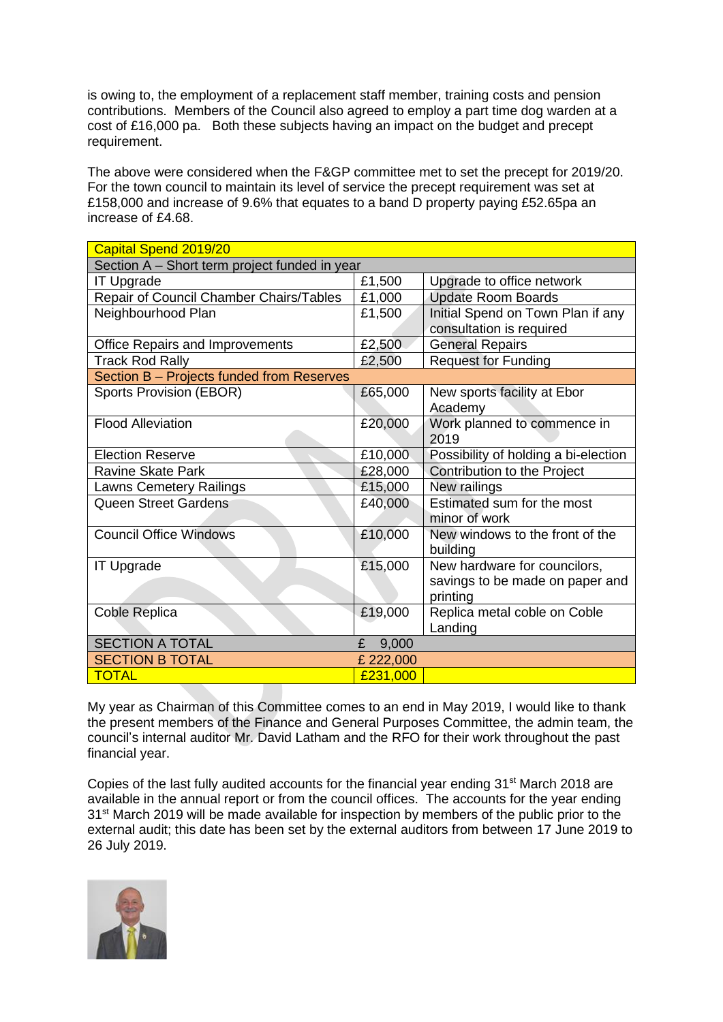is owing to, the employment of a replacement staff member, training costs and pension contributions. Members of the Council also agreed to employ a part time dog warden at a cost of £16,000 pa. Both these subjects having an impact on the budget and precept requirement.

The above were considered when the F&GP committee met to set the precept for 2019/20. For the town council to maintain its level of service the precept requirement was set at £158,000 and increase of 9.6% that equates to a band D property paying £52.65pa an increase of £4.68.

| Capital Spend 2019/20                         |            |                                      |  |  |
|-----------------------------------------------|------------|--------------------------------------|--|--|
| Section A - Short term project funded in year |            |                                      |  |  |
| <b>IT Upgrade</b>                             | £1,500     | Upgrade to office network            |  |  |
| Repair of Council Chamber Chairs/Tables       | £1,000     | <b>Update Room Boards</b>            |  |  |
| Neighbourhood Plan                            | £1,500     | Initial Spend on Town Plan if any    |  |  |
|                                               |            | consultation is required             |  |  |
| <b>Office Repairs and Improvements</b>        | £2,500     | <b>General Repairs</b>               |  |  |
| <b>Track Rod Rally</b>                        | £2,500     | <b>Request for Funding</b>           |  |  |
| Section B - Projects funded from Reserves     |            |                                      |  |  |
| <b>Sports Provision (EBOR)</b>                | £65,000    | New sports facility at Ebor          |  |  |
|                                               |            | Academy                              |  |  |
| <b>Flood Alleviation</b>                      | £20,000    | Work planned to commence in          |  |  |
|                                               |            | 2019                                 |  |  |
| <b>Election Reserve</b>                       | £10,000    | Possibility of holding a bi-election |  |  |
| Ravine Skate Park                             | £28,000    | Contribution to the Project          |  |  |
| Lawns Cemetery Railings                       | £15,000    | New railings                         |  |  |
| <b>Queen Street Gardens</b>                   | £40,000    | Estimated sum for the most           |  |  |
|                                               |            | minor of work                        |  |  |
| <b>Council Office Windows</b>                 | £10,000    | New windows to the front of the      |  |  |
|                                               |            | building                             |  |  |
| <b>IT Upgrade</b>                             | £15,000    | New hardware for councilors,         |  |  |
|                                               |            | savings to be made on paper and      |  |  |
|                                               |            | printing                             |  |  |
| Coble Replica                                 | £19,000    | Replica metal coble on Coble         |  |  |
|                                               |            | Landing                              |  |  |
| <b>SECTION A TOTAL</b>                        | 9,000<br>£ |                                      |  |  |
| <b>SECTION B TOTAL</b>                        | £ 222,000  |                                      |  |  |
| <b>TOTAL</b>                                  | £231,000   |                                      |  |  |

My year as Chairman of this Committee comes to an end in May 2019, I would like to thank the present members of the Finance and General Purposes Committee, the admin team, the council's internal auditor Mr. David Latham and the RFO for their work throughout the past financial year.

Copies of the last fully audited accounts for the financial year ending  $31<sup>st</sup>$  March 2018 are available in the annual report or from the council offices. The accounts for the year ending 31<sup>st</sup> March 2019 will be made available for inspection by members of the public prior to the external audit; this date has been set by the external auditors from between 17 June 2019 to 26 July 2019.

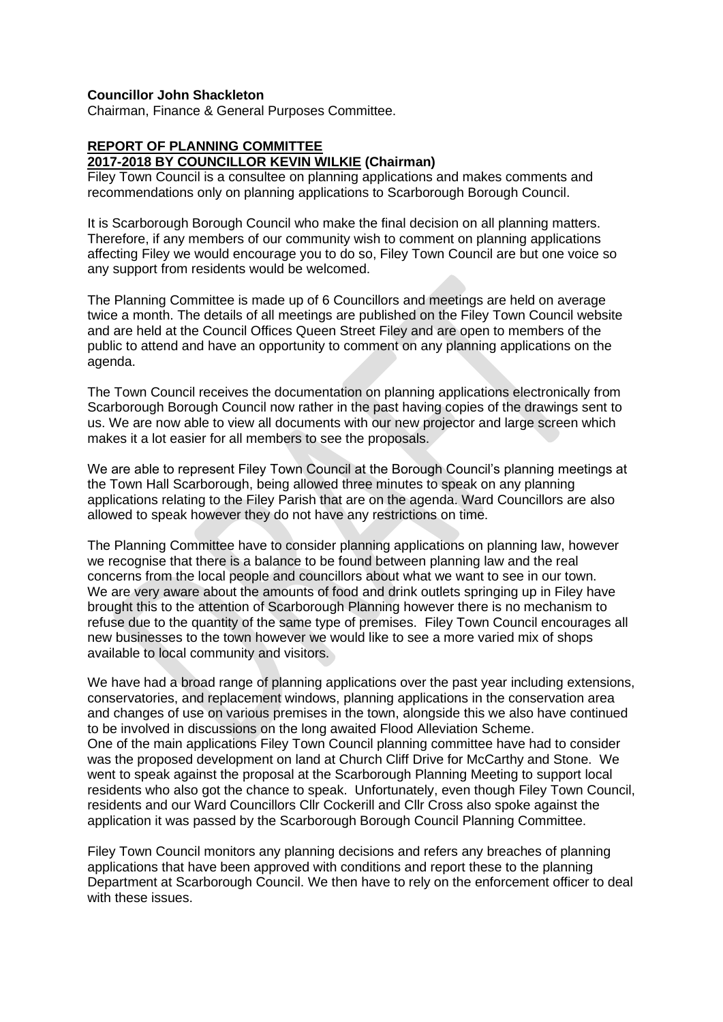## **Councillor John Shackleton**

Chairman, Finance & General Purposes Committee.

# **REPORT OF PLANNING COMMITTEE**

#### **2017-2018 BY COUNCILLOR KEVIN WILKIE (Chairman)**

Filey Town Council is a consultee on planning applications and makes comments and recommendations only on planning applications to Scarborough Borough Council.

It is Scarborough Borough Council who make the final decision on all planning matters. Therefore, if any members of our community wish to comment on planning applications affecting Filey we would encourage you to do so, Filey Town Council are but one voice so any support from residents would be welcomed.

The Planning Committee is made up of 6 Councillors and meetings are held on average twice a month. The details of all meetings are published on the Filey Town Council website and are held at the Council Offices Queen Street Filey and are open to members of the public to attend and have an opportunity to comment on any planning applications on the agenda.

The Town Council receives the documentation on planning applications electronically from Scarborough Borough Council now rather in the past having copies of the drawings sent to us. We are now able to view all documents with our new projector and large screen which makes it a lot easier for all members to see the proposals.

We are able to represent Filey Town Council at the Borough Council's planning meetings at the Town Hall Scarborough, being allowed three minutes to speak on any planning applications relating to the Filey Parish that are on the agenda. Ward Councillors are also allowed to speak however they do not have any restrictions on time.

The Planning Committee have to consider planning applications on planning law, however we recognise that there is a balance to be found between planning law and the real concerns from the local people and councillors about what we want to see in our town. We are very aware about the amounts of food and drink outlets springing up in Filey have brought this to the attention of Scarborough Planning however there is no mechanism to refuse due to the quantity of the same type of premises. Filey Town Council encourages all new businesses to the town however we would like to see a more varied mix of shops available to local community and visitors.

We have had a broad range of planning applications over the past year including extensions, conservatories, and replacement windows, planning applications in the conservation area and changes of use on various premises in the town, alongside this we also have continued to be involved in discussions on the long awaited Flood Alleviation Scheme. One of the main applications Filey Town Council planning committee have had to consider was the proposed development on land at Church Cliff Drive for McCarthy and Stone. We went to speak against the proposal at the Scarborough Planning Meeting to support local residents who also got the chance to speak. Unfortunately, even though Filey Town Council, residents and our Ward Councillors Cllr Cockerill and Cllr Cross also spoke against the application it was passed by the Scarborough Borough Council Planning Committee.

Filey Town Council monitors any planning decisions and refers any breaches of planning applications that have been approved with conditions and report these to the planning Department at Scarborough Council. We then have to rely on the enforcement officer to deal with these issues.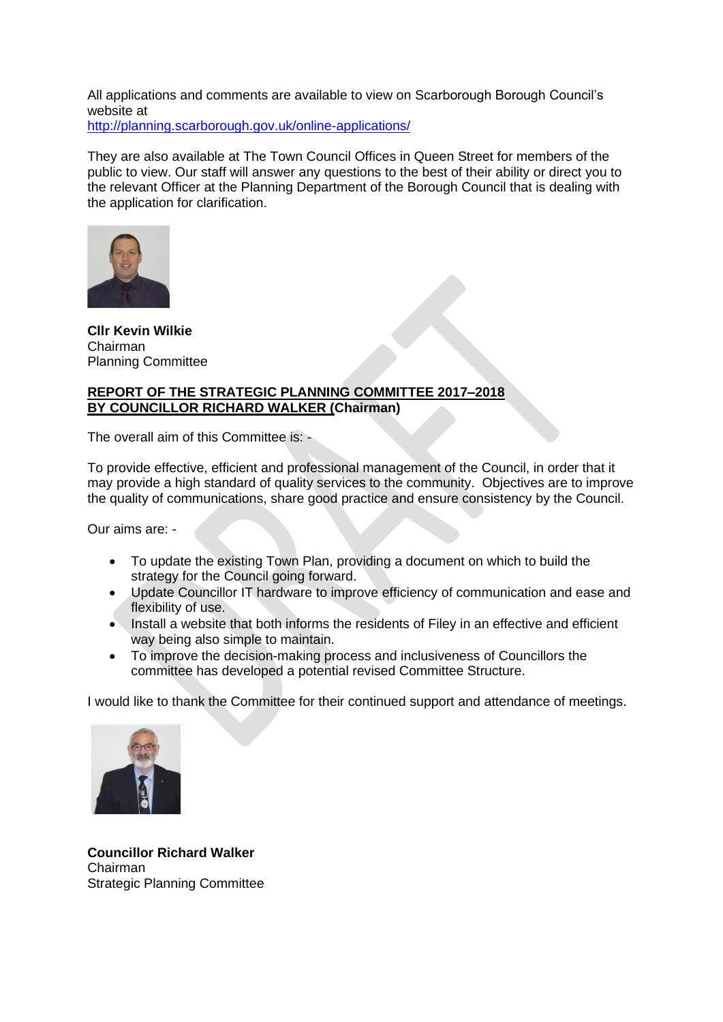All applications and comments are available to view on Scarborough Borough Council's website at

<http://planning.scarborough.gov.uk/online-applications/>

They are also available at The Town Council Offices in Queen Street for members of the public to view. Our staff will answer any questions to the best of their ability or direct you to the relevant Officer at the Planning Department of the Borough Council that is dealing with the application for clarification.



**Cllr Kevin Wilkie** Chairman Planning Committee

# **REPORT OF THE STRATEGIC PLANNING COMMITTEE 2017–2018 BY COUNCILLOR RICHARD WALKER (Chairman)**

The overall aim of this Committee is: -

To provide effective, efficient and professional management of the Council, in order that it may provide a high standard of quality services to the community. Objectives are to improve the quality of communications, share good practice and ensure consistency by the Council.

Our aims are: -

- To update the existing Town Plan, providing a document on which to build the strategy for the Council going forward.
- Update Councillor IT hardware to improve efficiency of communication and ease and flexibility of use.
- Install a website that both informs the residents of Filey in an effective and efficient way being also simple to maintain.
- To improve the decision-making process and inclusiveness of Councillors the committee has developed a potential revised Committee Structure.

I would like to thank the Committee for their continued support and attendance of meetings.



**Councillor Richard Walker** Chairman Strategic Planning Committee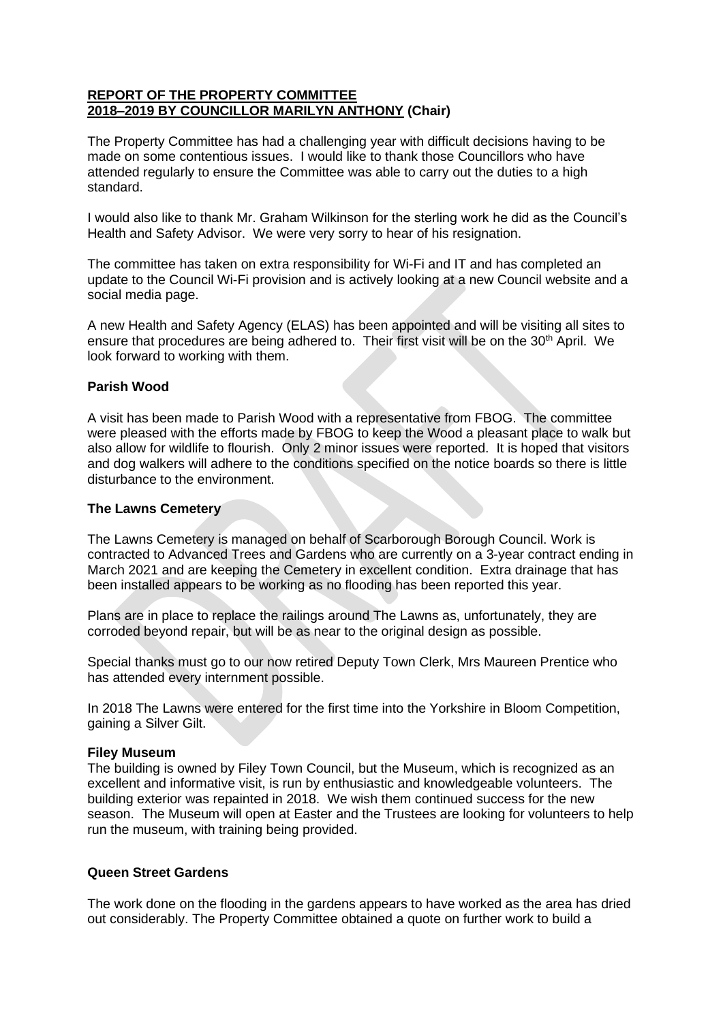# **REPORT OF THE PROPERTY COMMITTEE 2018–2019 BY COUNCILLOR MARILYN ANTHONY (Chair)**

The Property Committee has had a challenging year with difficult decisions having to be made on some contentious issues. I would like to thank those Councillors who have attended regularly to ensure the Committee was able to carry out the duties to a high standard.

I would also like to thank Mr. Graham Wilkinson for the sterling work he did as the Council's Health and Safety Advisor. We were very sorry to hear of his resignation.

The committee has taken on extra responsibility for Wi-Fi and IT and has completed an update to the Council Wi-Fi provision and is actively looking at a new Council website and a social media page.

A new Health and Safety Agency (ELAS) has been appointed and will be visiting all sites to ensure that procedures are being adhered to. Their first visit will be on the 30<sup>th</sup> April. We look forward to working with them.

# **Parish Wood**

A visit has been made to Parish Wood with a representative from FBOG. The committee were pleased with the efforts made by FBOG to keep the Wood a pleasant place to walk but also allow for wildlife to flourish. Only 2 minor issues were reported. It is hoped that visitors and dog walkers will adhere to the conditions specified on the notice boards so there is little disturbance to the environment.

#### **The Lawns Cemetery**

The Lawns Cemetery is managed on behalf of Scarborough Borough Council. Work is contracted to Advanced Trees and Gardens who are currently on a 3-year contract ending in March 2021 and are keeping the Cemetery in excellent condition. Extra drainage that has been installed appears to be working as no flooding has been reported this year.

Plans are in place to replace the railings around The Lawns as, unfortunately, they are corroded beyond repair, but will be as near to the original design as possible.

Special thanks must go to our now retired Deputy Town Clerk, Mrs Maureen Prentice who has attended every internment possible.

In 2018 The Lawns were entered for the first time into the Yorkshire in Bloom Competition, gaining a Silver Gilt.

#### **Filey Museum**

The building is owned by Filey Town Council, but the Museum, which is recognized as an excellent and informative visit, is run by enthusiastic and knowledgeable volunteers. The building exterior was repainted in 2018. We wish them continued success for the new season. The Museum will open at Easter and the Trustees are looking for volunteers to help run the museum, with training being provided.

#### **Queen Street Gardens**

The work done on the flooding in the gardens appears to have worked as the area has dried out considerably. The Property Committee obtained a quote on further work to build a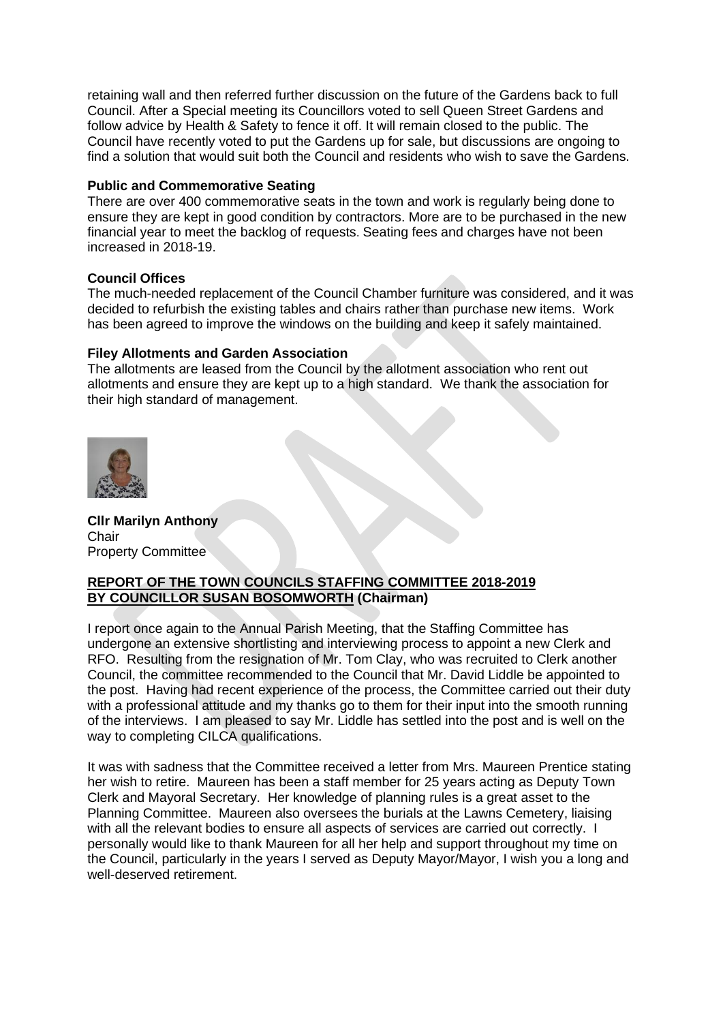retaining wall and then referred further discussion on the future of the Gardens back to full Council. After a Special meeting its Councillors voted to sell Queen Street Gardens and follow advice by Health & Safety to fence it off. It will remain closed to the public. The Council have recently voted to put the Gardens up for sale, but discussions are ongoing to find a solution that would suit both the Council and residents who wish to save the Gardens.

## **Public and Commemorative Seating**

There are over 400 commemorative seats in the town and work is regularly being done to ensure they are kept in good condition by contractors. More are to be purchased in the new financial year to meet the backlog of requests. Seating fees and charges have not been increased in 2018-19.

## **Council Offices**

The much-needed replacement of the Council Chamber furniture was considered, and it was decided to refurbish the existing tables and chairs rather than purchase new items. Work has been agreed to improve the windows on the building and keep it safely maintained.

## **Filey Allotments and Garden Association**

The allotments are leased from the Council by the allotment association who rent out allotments and ensure they are kept up to a high standard. We thank the association for their high standard of management.



**Cllr Marilyn Anthony Chair** Property Committee

# **REPORT OF THE TOWN COUNCILS STAFFING COMMITTEE 2018-2019 BY COUNCILLOR SUSAN BOSOMWORTH (Chairman)**

I report once again to the Annual Parish Meeting, that the Staffing Committee has undergone an extensive shortlisting and interviewing process to appoint a new Clerk and RFO. Resulting from the resignation of Mr. Tom Clay, who was recruited to Clerk another Council, the committee recommended to the Council that Mr. David Liddle be appointed to the post. Having had recent experience of the process, the Committee carried out their duty with a professional attitude and my thanks go to them for their input into the smooth running of the interviews. I am pleased to say Mr. Liddle has settled into the post and is well on the way to completing CILCA qualifications.

It was with sadness that the Committee received a letter from Mrs. Maureen Prentice stating her wish to retire. Maureen has been a staff member for 25 years acting as Deputy Town Clerk and Mayoral Secretary. Her knowledge of planning rules is a great asset to the Planning Committee. Maureen also oversees the burials at the Lawns Cemetery, liaising with all the relevant bodies to ensure all aspects of services are carried out correctly. I personally would like to thank Maureen for all her help and support throughout my time on the Council, particularly in the years I served as Deputy Mayor/Mayor, I wish you a long and well-deserved retirement.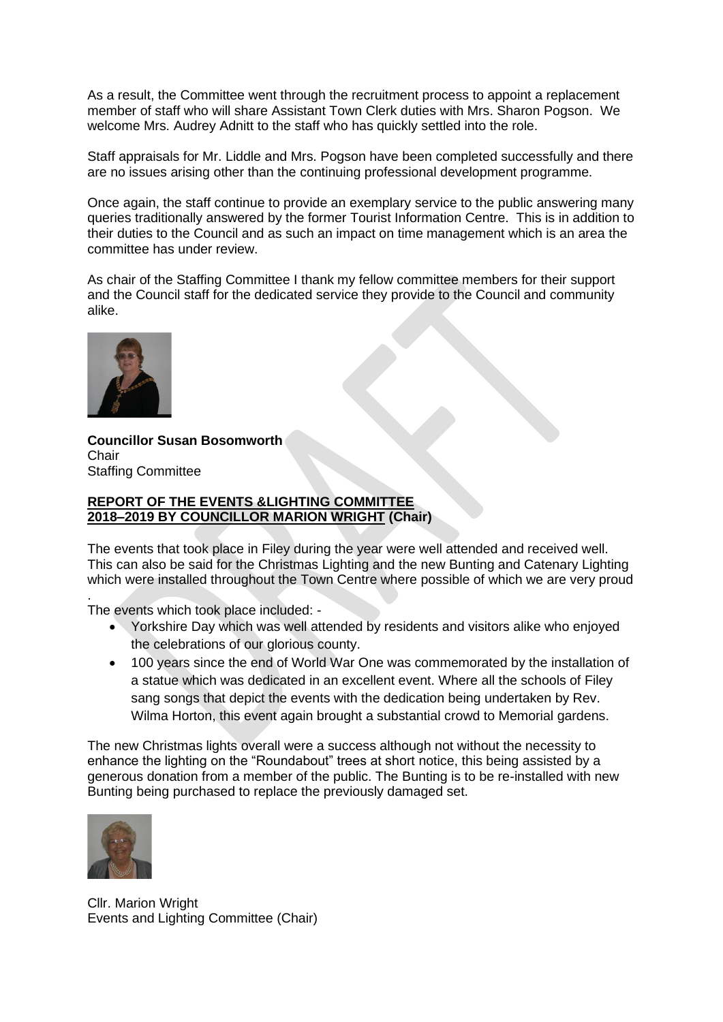As a result, the Committee went through the recruitment process to appoint a replacement member of staff who will share Assistant Town Clerk duties with Mrs. Sharon Pogson. We welcome Mrs. Audrey Adnitt to the staff who has quickly settled into the role.

Staff appraisals for Mr. Liddle and Mrs. Pogson have been completed successfully and there are no issues arising other than the continuing professional development programme.

Once again, the staff continue to provide an exemplary service to the public answering many queries traditionally answered by the former Tourist Information Centre. This is in addition to their duties to the Council and as such an impact on time management which is an area the committee has under review.

As chair of the Staffing Committee I thank my fellow committee members for their support and the Council staff for the dedicated service they provide to the Council and community alike.



**Councillor Susan Bosomworth Chair** Staffing Committee

### **REPORT OF THE EVENTS &LIGHTING COMMITTEE 2018–2019 BY COUNCILLOR MARION WRIGHT (Chair)**

The events that took place in Filey during the year were well attended and received well. This can also be said for the Christmas Lighting and the new Bunting and Catenary Lighting which were installed throughout the Town Centre where possible of which we are very proud

. The events which took place included: -

- Yorkshire Day which was well attended by residents and visitors alike who enjoyed the celebrations of our glorious county.
- 100 years since the end of World War One was commemorated by the installation of a statue which was dedicated in an excellent event. Where all the schools of Filey sang songs that depict the events with the dedication being undertaken by Rev. Wilma Horton, this event again brought a substantial crowd to Memorial gardens.

The new Christmas lights overall were a success although not without the necessity to enhance the lighting on the "Roundabout" trees at short notice, this being assisted by a generous donation from a member of the public. The Bunting is to be re-installed with new Bunting being purchased to replace the previously damaged set.



Cllr. Marion Wright Events and Lighting Committee (Chair)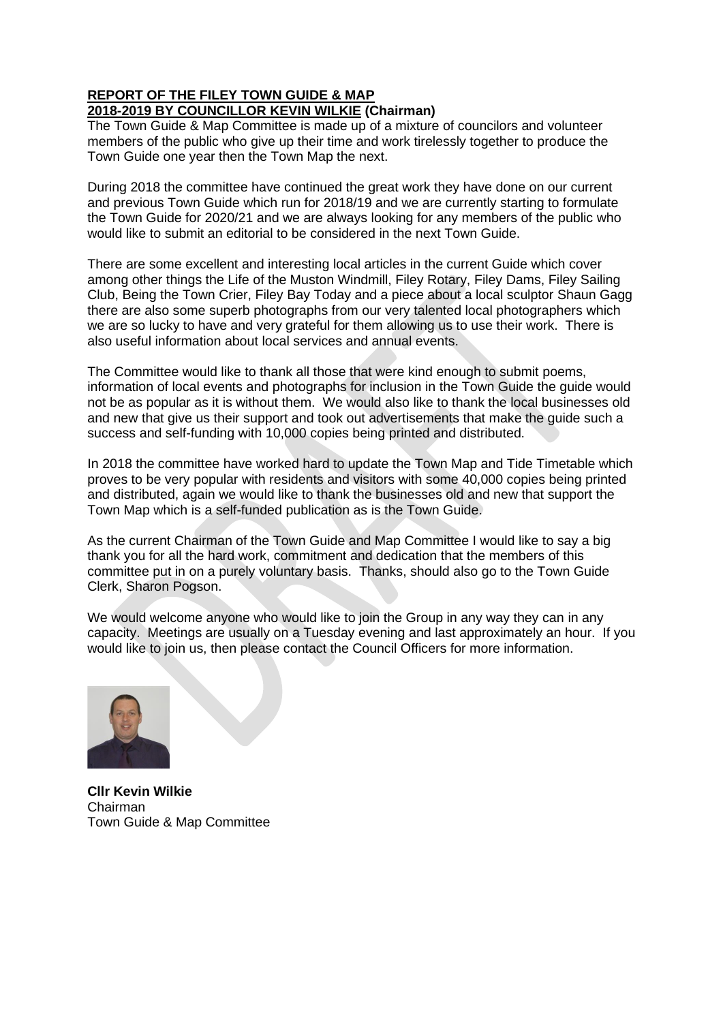# **REPORT OF THE FILEY TOWN GUIDE & MAP 2018-2019 BY COUNCILLOR KEVIN WILKIE (Chairman)**

The Town Guide & Map Committee is made up of a mixture of councilors and volunteer members of the public who give up their time and work tirelessly together to produce the Town Guide one year then the Town Map the next.

During 2018 the committee have continued the great work they have done on our current and previous Town Guide which run for 2018/19 and we are currently starting to formulate the Town Guide for 2020/21 and we are always looking for any members of the public who would like to submit an editorial to be considered in the next Town Guide.

There are some excellent and interesting local articles in the current Guide which cover among other things the Life of the Muston Windmill, Filey Rotary, Filey Dams, Filey Sailing Club, Being the Town Crier, Filey Bay Today and a piece about a local sculptor Shaun Gagg there are also some superb photographs from our very talented local photographers which we are so lucky to have and very grateful for them allowing us to use their work. There is also useful information about local services and annual events.

The Committee would like to thank all those that were kind enough to submit poems, information of local events and photographs for inclusion in the Town Guide the guide would not be as popular as it is without them. We would also like to thank the local businesses old and new that give us their support and took out advertisements that make the guide such a success and self-funding with 10,000 copies being printed and distributed.

In 2018 the committee have worked hard to update the Town Map and Tide Timetable which proves to be very popular with residents and visitors with some 40,000 copies being printed and distributed, again we would like to thank the businesses old and new that support the Town Map which is a self-funded publication as is the Town Guide.

As the current Chairman of the Town Guide and Map Committee I would like to say a big thank you for all the hard work, commitment and dedication that the members of this committee put in on a purely voluntary basis. Thanks, should also go to the Town Guide Clerk, Sharon Pogson.

We would welcome anyone who would like to join the Group in any way they can in any capacity. Meetings are usually on a Tuesday evening and last approximately an hour. If you would like to join us, then please contact the Council Officers for more information.



**Cllr Kevin Wilkie** Chairman Town Guide & Map Committee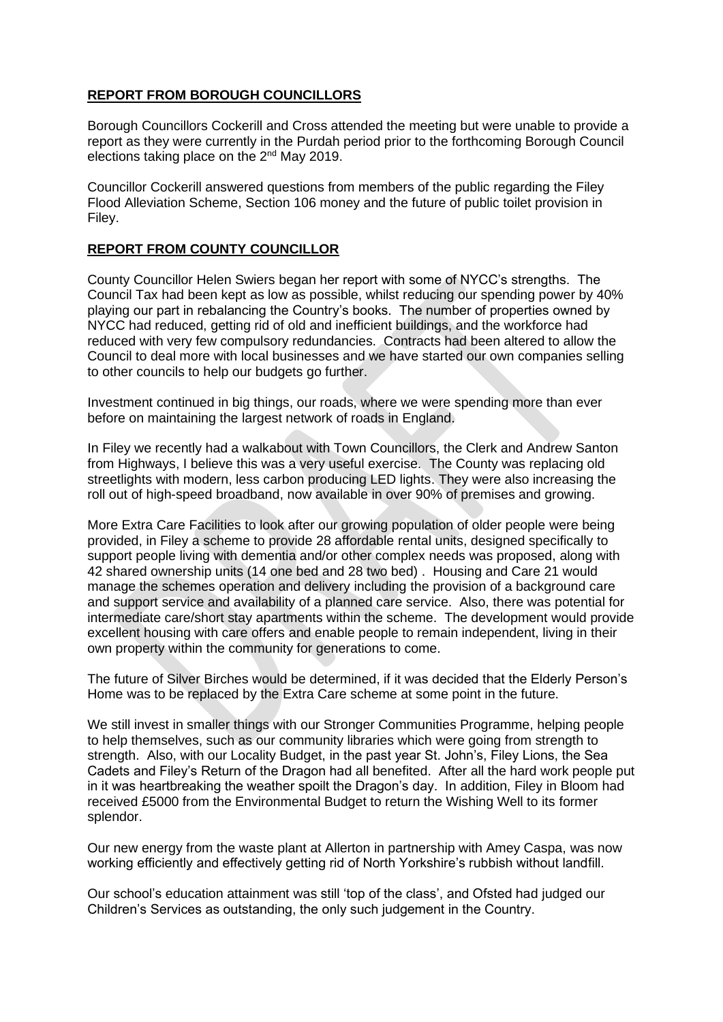# **REPORT FROM BOROUGH COUNCILLORS**

Borough Councillors Cockerill and Cross attended the meeting but were unable to provide a report as they were currently in the Purdah period prior to the forthcoming Borough Council elections taking place on the 2<sup>nd</sup> May 2019.

Councillor Cockerill answered questions from members of the public regarding the Filey Flood Alleviation Scheme, Section 106 money and the future of public toilet provision in Filey.

# **REPORT FROM COUNTY COUNCILLOR**

County Councillor Helen Swiers began her report with some of NYCC's strengths. The Council Tax had been kept as low as possible, whilst reducing our spending power by 40% playing our part in rebalancing the Country's books. The number of properties owned by NYCC had reduced, getting rid of old and inefficient buildings, and the workforce had reduced with very few compulsory redundancies. Contracts had been altered to allow the Council to deal more with local businesses and we have started our own companies selling to other councils to help our budgets go further.

Investment continued in big things, our roads, where we were spending more than ever before on maintaining the largest network of roads in England.

In Filey we recently had a walkabout with Town Councillors, the Clerk and Andrew Santon from Highways, I believe this was a very useful exercise. The County was replacing old streetlights with modern, less carbon producing LED lights. They were also increasing the roll out of high-speed broadband, now available in over 90% of premises and growing.

More Extra Care Facilities to look after our growing population of older people were being provided, in Filey a scheme to provide 28 affordable rental units, designed specifically to support people living with dementia and/or other complex needs was proposed, along with 42 shared ownership units (14 one bed and 28 two bed) . Housing and Care 21 would manage the schemes operation and delivery including the provision of a background care and support service and availability of a planned care service. Also, there was potential for intermediate care/short stay apartments within the scheme. The development would provide excellent housing with care offers and enable people to remain independent, living in their own property within the community for generations to come.

The future of Silver Birches would be determined, if it was decided that the Elderly Person's Home was to be replaced by the Extra Care scheme at some point in the future.

We still invest in smaller things with our Stronger Communities Programme, helping people to help themselves, such as our community libraries which were going from strength to strength. Also, with our Locality Budget, in the past year St. John's, Filey Lions, the Sea Cadets and Filey's Return of the Dragon had all benefited. After all the hard work people put in it was heartbreaking the weather spoilt the Dragon's day. In addition, Filey in Bloom had received £5000 from the Environmental Budget to return the Wishing Well to its former splendor.

Our new energy from the waste plant at Allerton in partnership with Amey Caspa, was now working efficiently and effectively getting rid of North Yorkshire's rubbish without landfill.

Our school's education attainment was still 'top of the class', and Ofsted had judged our Children's Services as outstanding, the only such judgement in the Country.